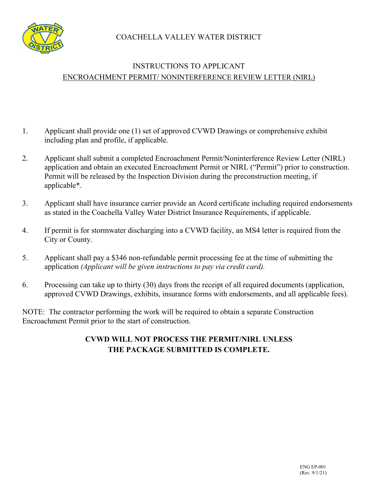COACHELLA VALLEY WATER DISTRICT



## INSTRUCTIONS TO APPLICANT ENCROACHMENT PERMIT/ NONINTERFERENCE REVIEW LETTER (NIRL)

- 1. Applicant shall provide one (1) set of approved CVWD Drawings or comprehensive exhibit including plan and profile, if applicable.
- 2. Applicant shall submit a completed Encroachment Permit/Noninterference Review Letter (NIRL) application and obtain an executed Encroachment Permit or NIRL ("Permit") prior to construction. Permit will be released by the Inspection Division during the preconstruction meeting, if applicable\*.
- 3. Applicant shall have insurance carrier provide an Acord certificate including required endorsements as stated in the Coachella Valley Water District Insurance Requirements, if applicable.
- 4. If permit is for stormwater discharging into a CVWD facility, an MS4 letter is required from the City or County.
- 5. Applicant shall pay a \$346 non-refundable permit processing fee at the time of submitting the application *(Applicant will be given instructions to pay via credit card).*
- 6. Processing can take up to thirty (30) days from the receipt of all required documents (application, approved CVWD Drawings, exhibits, insurance forms with endorsements, and all applicable fees).

NOTE: The contractor performing the work will be required to obtain a separate Construction Encroachment Permit prior to the start of construction.

## **CVWD WILL NOT PROCESS THE PERMIT/NIRL UNLESS THE PACKAGE SUBMITTED IS COMPLETE.**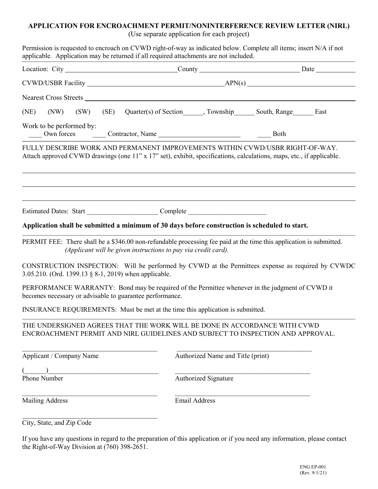# **APPLICATION FOR ENCROACHMENT PERMIT/NONINTERFERENCE REVIEW LETTER (NIRL)**

(Use separate application for each project) Permission is requested to encroach on CVWD right-of-way as indicated below. Complete all items; insert N/A if not applicable. Application may be returned if all required attachments are not included. Location: City County County Date  $CVWD/USBR$  Facility  $APN(s)$ Nearest Cross Streets (NE) (NW) (SW) (SE) Quarter(s) of Section , Township South, Range East Work to be performed by: \_\_\_\_ Own forces \_\_\_\_ Contractor, Name \_\_\_\_ Both FULLY DESCRIBE WORK AND PERMANENT IMPROVEMENTS WITHIN CVWD/USBR RIGHT-OF-WAY. Attach approved CVWD drawings (one 11" x 17" set), exhibit, specifications, calculations, maps, etc., if applicable. Estimated Dates: Start Complete **Application shall be submitted a minimum of 30 days before construction is scheduled to start.** PERMIT FEE: There shall be a \$346.00 non-refundable processing fee paid at the time this application is submitted. *(Applicant will be given instructions to pay via credit card).* CONSTRUCTION INSPECTION: Will be performed by CVWD at the Permittees expense as required by CVWDC 3.05.210. (Ord. 1399.13 § 8-1, 2019) when applicable. PERFORMANCE WARRANTY: Bond may be required of the Permittee whenever in the judgment of CVWD it becomes necessary or advisable to guarantee performance. INSURANCE REQUIREMENTS: Must be met at the time this application is submitted. THE UNDERSIGNED AGREES THAT THE WORK WILL BE DONE IN ACCORDANCE WITH CVWD ENCROACHMENT PERMIT AND NIRL GUIDELINES AND SUBJECT TO INSPECTION AND APPROVAL.  $\mathcal{L}_\text{max}$  , and the contribution of the contribution of the contribution of the contribution of the contribution of the contribution of the contribution of the contribution of the contribution of the contribution of t Applicant / Company Name Authorized Name and Title (print)  $($   $)$ Phone Number **Authorized Signature**  $\_$  , and the contribution of the contribution of  $\mathcal{L}_\mathcal{A}$  , and the contribution of  $\mathcal{L}_\mathcal{A}$ 

Mailing Address **Email Address** 

City, State, and Zip Code

 $\mathcal{L}_\text{max}$  , and the set of the set of the set of the set of the set of the set of the set of the set of the set of the set of the set of the set of the set of the set of the set of the set of the set of the set of the

If you have any questions in regard to the preparation of this application or if you need any information, please contact the Right-of-Way Division at (760) 398-2651.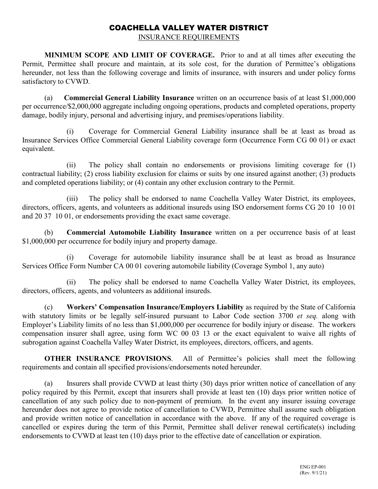### COACHELLA VALLEY WATER DISTRICT

INSURANCE REQUIREMENTS

**MINIMUM SCOPE AND LIMIT OF COVERAGE.** Prior to and at all times after executing the Permit, Permittee shall procure and maintain, at its sole cost, for the duration of Permittee's obligations hereunder, not less than the following coverage and limits of insurance, with insurers and under policy forms satisfactory to CVWD.

(a) **Commercial General Liability Insurance** written on an occurrence basis of at least \$1,000,000 per occurrence/\$2,000,000 aggregate including ongoing operations, products and completed operations, property damage, bodily injury, personal and advertising injury, and premises/operations liability.

(i) Coverage for Commercial General Liability insurance shall be at least as broad as Insurance Services Office Commercial General Liability coverage form (Occurrence Form CG 00 01) or exact equivalent.

(ii) The policy shall contain no endorsements or provisions limiting coverage for (1) contractual liability; (2) cross liability exclusion for claims or suits by one insured against another; (3) products and completed operations liability; or (4) contain any other exclusion contrary to the Permit.

(iii) The policy shall be endorsed to name Coachella Valley Water District, its employees, directors, officers, agents, and volunteers as additional insureds using ISO endorsement forms CG 20 10 10 01 and 20 37 10 01, or endorsements providing the exact same coverage.

(b) **Commercial Automobile Liability Insurance** written on a per occurrence basis of at least \$1,000,000 per occurrence for bodily injury and property damage.

(i) Coverage for automobile liability insurance shall be at least as broad as Insurance Services Office Form Number CA 00 01 covering automobile liability (Coverage Symbol 1, any auto)

(ii) The policy shall be endorsed to name Coachella Valley Water District, its employees, directors, officers, agents, and volunteers as additional insureds.

(c) **Workers' Compensation Insurance/Employers Liability** as required by the State of California with statutory limits or be legally self-insured pursuant to Labor Code section 3700 *et seq.* along with Employer's Liability limits of no less than \$1,000,000 per occurrence for bodily injury or disease. The workers compensation insurer shall agree, using form WC 00 03 13 or the exact equivalent to waive all rights of subrogation against Coachella Valley Water District, its employees, directors, officers, and agents.

**OTHER INSURANCE PROVISIONS**. All of Permittee's policies shall meet the following requirements and contain all specified provisions/endorsements noted hereunder.

(a) Insurers shall provide CVWD at least thirty (30) days prior written notice of cancellation of any policy required by this Permit, except that insurers shall provide at least ten (10) days prior written notice of cancellation of any such policy due to non-payment of premium. In the event any insurer issuing coverage hereunder does not agree to provide notice of cancellation to CVWD, Permittee shall assume such obligation and provide written notice of cancellation in accordance with the above. If any of the required coverage is cancelled or expires during the term of this Permit, Permittee shall deliver renewal certificate(s) including endorsements to CVWD at least ten (10) days prior to the effective date of cancellation or expiration.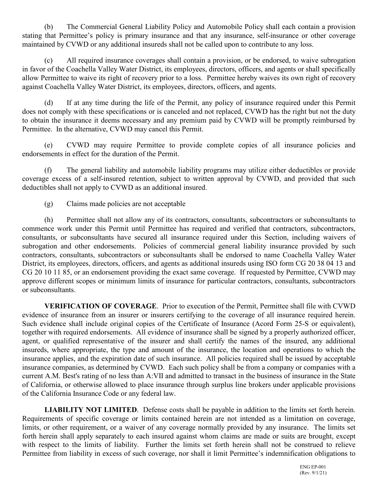(b) The Commercial General Liability Policy and Automobile Policy shall each contain a provision stating that Permittee's policy is primary insurance and that any insurance, self-insurance or other coverage maintained by CVWD or any additional insureds shall not be called upon to contribute to any loss.

(c) All required insurance coverages shall contain a provision, or be endorsed, to waive subrogation in favor of the Coachella Valley Water District, its employees, directors, officers, and agents or shall specifically allow Permittee to waive its right of recovery prior to a loss. Permittee hereby waives its own right of recovery against Coachella Valley Water District, its employees, directors, officers, and agents.

(d) If at any time during the life of the Permit, any policy of insurance required under this Permit does not comply with these specifications or is canceled and not replaced, CVWD has the right but not the duty to obtain the insurance it deems necessary and any premium paid by CVWD will be promptly reimbursed by Permittee. In the alternative, CVWD may cancel this Permit.

(e) CVWD may require Permittee to provide complete copies of all insurance policies and endorsements in effect for the duration of the Permit.

(f) The general liability and automobile liability programs may utilize either deductibles or provide coverage excess of a self-insured retention, subject to written approval by CVWD, and provided that such deductibles shall not apply to CVWD as an additional insured.

(g) Claims made policies are not acceptable

(h) Permittee shall not allow any of its contractors, consultants, subcontractors or subconsultants to commence work under this Permit until Permittee has required and verified that contractors, subcontractors, consultants, or subconsultants have secured all insurance required under this Section, including waivers of subrogation and other endorsements. Policies of commercial general liability insurance provided by such contractors, consultants, subcontractors or subconsultants shall be endorsed to name Coachella Valley Water District, its employees, directors, officers, and agents as additional insureds using ISO form CG 20 38 04 13 and CG 20 10 11 85, or an endorsement providing the exact same coverage. If requested by Permittee, CVWD may approve different scopes or minimum limits of insurance for particular contractors, consultants, subcontractors or subconsultants.

**VERIFICATION OF COVERAGE**. Prior to execution of the Permit, Permittee shall file with CVWD evidence of insurance from an insurer or insurers certifying to the coverage of all insurance required herein. Such evidence shall include original copies of the Certificate of Insurance (Acord Form 25-S or equivalent), together with required endorsements. All evidence of insurance shall be signed by a properly authorized officer, agent, or qualified representative of the insurer and shall certify the names of the insured, any additional insureds, where appropriate, the type and amount of the insurance, the location and operations to which the insurance applies, and the expiration date of such insurance. All policies required shall be issued by acceptable insurance companies, as determined by CVWD. Each such policy shall be from a company or companies with a current A.M. Best's rating of no less than A:VII and admitted to transact in the business of insurance in the State of California, or otherwise allowed to place insurance through surplus line brokers under applicable provisions of the California Insurance Code or any federal law.

**LIABILITY NOT LIMITED**. Defense costs shall be payable in addition to the limits set forth herein. Requirements of specific coverage or limits contained herein are not intended as a limitation on coverage, limits, or other requirement, or a waiver of any coverage normally provided by any insurance. The limits set forth herein shall apply separately to each insured against whom claims are made or suits are brought, except with respect to the limits of liability. Further the limits set forth herein shall not be construed to relieve Permittee from liability in excess of such coverage, nor shall it limit Permittee's indemnification obligations to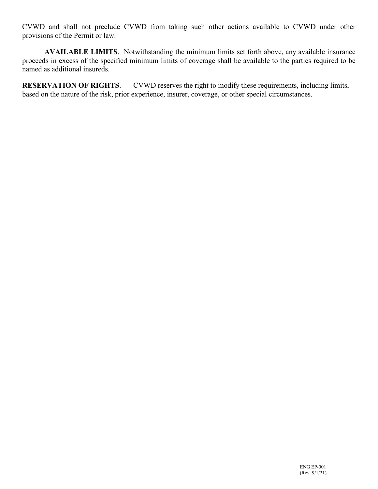CVWD and shall not preclude CVWD from taking such other actions available to CVWD under other provisions of the Permit or law.

**AVAILABLE LIMITS**. Notwithstanding the minimum limits set forth above, any available insurance proceeds in excess of the specified minimum limits of coverage shall be available to the parties required to be named as additional insureds.

**RESERVATION OF RIGHTS**. CVWD reserves the right to modify these requirements, including limits, based on the nature of the risk, prior experience, insurer, coverage, or other special circumstances.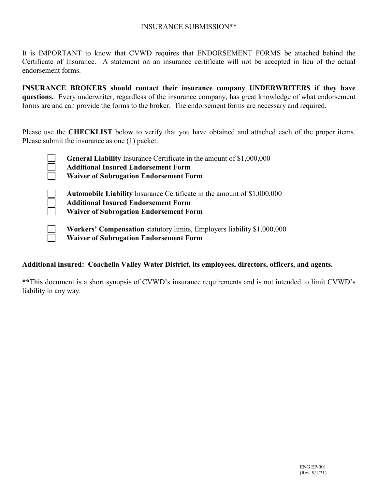#### INSURANCE SUBMISSION\*\*

It is IMPORTANT to know that CVWD requires that ENDORSEMENT FORMS be attached behind the Certificate of Insurance. A statement on an insurance certificate will not be accepted in lieu of the actual endorsement forms.

**INSURANCE BROKERS should contact their insurance company UNDERWRITERS if they have questions.** Every underwriter, regardless of the insurance company, has great knowledge of what endorsement forms are and can provide the forms to the broker. The endorsement forms are necessary and required.

Please use the **CHECKLIST** below to verify that you have obtained and attached each of the proper items. Please submit the insurance as one (1) packet.

> **General Liability** Insurance Certificate in the amount of \$1,000,000 **Additional Insured Endorsement Form Waiver of Subrogation Endorsement Form**

**Automobile Liability** Insurance Certificate in the amount of \$1,000,000

**Additional Insured Endorsement Form**

**Waiver of Subrogation Endorsement Form**

**Workers' Compensation** statutory limits, Employers liability \$1,000,000 **Waiver of Subrogation Endorsement Form**

#### **Additional insured: Coachella Valley Water District, its employees, directors, officers, and agents.**

**\*\***This document is a short synopsis of CVWD's insurance requirements and is not intended to limit CVWD's liability in any way.